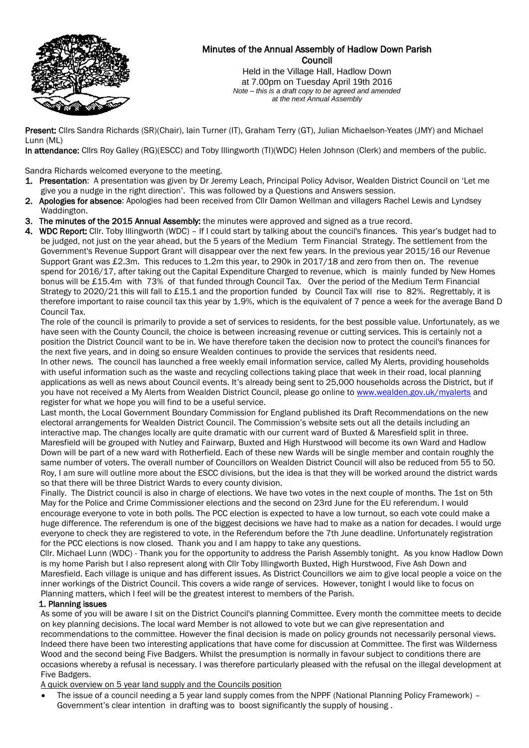

# Minutes of the Annual Assembly of Hadlow Down Parish **Council**

Held in the Village Hall, Hadlow Down at 7.00pm on Tuesday April 19th 2016 *Note – this is a draft copy to be agreed and amended at the next Annual Assembly*

Present: Cllrs Sandra Richards (SR)(Chair), Iain Turner (IT), Graham Terry (GT), Julian Michaelson-Yeates (JMY) and Michael Lunn (ML)

In attendance: Cllrs Roy Galley (RG)(ESCC) and Toby Illingworth (TI)(WDC) Helen Johnson (Clerk) and members of the public.

Sandra Richards welcomed everyone to the meeting.

- 1. Presentation: A presentation was given by Dr Jeremy Leach, Principal Policy Advisor, Wealden District Council on 'Let me give you a nudge in the right direction'. This was followed by a Questions and Answers session.
- 2. Apologies for absence: Apologies had been received from Cllr Damon Wellman and villagers Rachel Lewis and Lyndsey Waddington.
- 3. The minutes of the 2015 Annual Assembly: the minutes were approved and signed as a true record.
- 4. WDC Report: Cllr. Toby Illingworth (WDC) If I could start by talking about the council's finances. This year's budget had to be judged, not just on the year ahead, but the 5 years of the Medium Term Financial Strategy. The settlement from the Government's Revenue Support Grant will disappear over the next few years. In the previous year 2015/16 our Revenue Support Grant was £2.3m. This reduces to 1.2m this year, to 290k in 2017/18 and zero from then on. The revenue spend for 2016/17, after taking out the Capital Expenditure Charged to revenue, which is mainly funded by New Homes bonus will be £15.4m with 73% of that funded through Council Tax. Over the period of the Medium Term Financial Strategy to 2020/21 this will fall to £15.1 and the proportion funded by Council Tax will rise to 82%. Regrettably, it is therefore important to raise council tax this year by 1.9%, which is the equivalent of 7 pence a week for the average Band D Council Tax.

 The role of the council is primarily to provide a set of services to residents, for the best possible value. Unfortunately, as we have seen with the County Council, the choice is between increasing revenue or cutting services. This is certainly not a position the District Council want to be in. We have therefore taken the decision now to protect the council's finances for the next five years, and in doing so ensure Wealden continues to provide the services that residents need.

 In other news. The council has launched a free weekly email information service, called My Alerts, providing households with useful information such as the waste and recycling collections taking place that week in their road, local planning applications as well as news about Council events. It's already being sent to 25,000 households across the District, but if you have not received a My Alerts from Wealden District Council, please go online t[o www.wealden.gov.uk/myalerts](http://www.wealden.gov.uk/myalerts) and register for what we hope you will find to be a useful service.

 Last month, the Local Government Boundary Commission for England published its Draft Recommendations on the new electoral arrangements for Wealden District Council. The Commission's website sets out all the details including an interactive map. The changes locally are quite dramatic with our current ward of Buxted & Maresfield split in three. Maresfield will be grouped with Nutley and Fairwarp, Buxted and High Hurstwood will become its own Ward and Hadlow Down will be part of a new ward with Rotherfield. Each of these new Wards will be single member and contain roughly the same number of voters. The overall number of Councillors on Wealden District Council will also be reduced from 55 to 50. Roy, I am sure will outline more about the ESCC divisions, but the idea is that they will be worked around the district wards so that there will be three District Wards to every county division.

 Finally. The District council is also in charge of elections. We have two votes in the next couple of months. The 1st on 5th May for the Police and Crime Commissioner elections and the second on 23rd June for the EU referendum. I would encourage everyone to vote in both polls. The PCC election is expected to have a low turnout, so each vote could make a huge difference. The referendum is one of the biggest decisions we have had to make as a nation for decades. I would urge everyone to check they are registered to vote, in the Referendum before the 7th June deadline. Unfortunately registration for the PCC elections is now closed. Thank you and I am happy to take any questions.

 Cllr. Michael Lunn (WDC) - Thank you for the opportunity to address the Parish Assembly tonight. As you know Hadlow Down is my home Parish but I also represent along with Cllr Toby Illingworth Buxted, High Hurstwood, Five Ash Down and Maresfield. Each village is unique and has different issues. As District Councillors we aim to give local people a voice on the inner workings of the District Council. This covers a wide range of services. However, tonight I would like to focus on Planning matters, which I feel will be the greatest interest to members of the Parish.

#### 1. Planning issues

 As some of you will be aware I sit on the District Council's planning Committee. Every month the committee meets to decide on key planning decisions. The local ward Member is not allowed to vote but we can give representation and recommendations to the committee. However the final decision is made on policy grounds not necessarily personal views. Indeed there have been two interesting applications that have come for discussion at Committee. The first was Wilderness Wood and the second being Five Badgers. Whilst the presumption is normally in favour subject to conditions there are occasions whereby a refusal is necessary. I was therefore particularly pleased with the refusal on the illegal development at Five Badgers.

A quick overview on 5 year land supply and the Councils position

 The issue of a council needing a 5 year land supply comes from the NPPF (National Planning Policy Framework) – Government's clear intention in drafting was to boost significantly the supply of housing .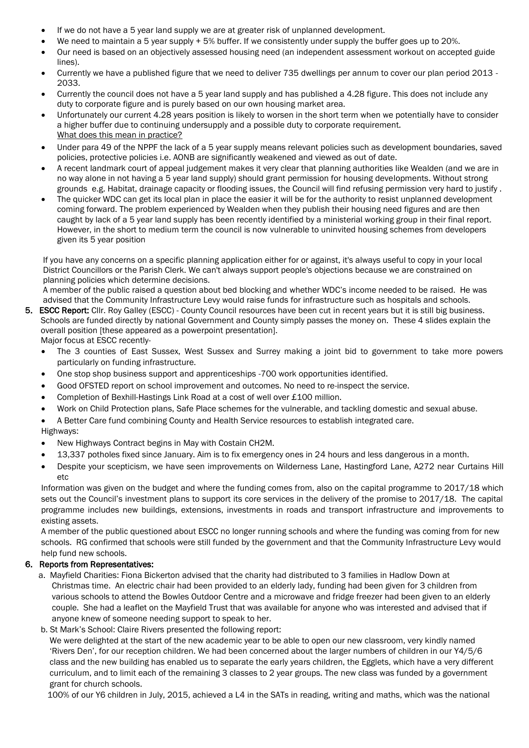- If we do not have a 5 year land supply we are at greater risk of unplanned development.
- We need to maintain a 5 year supply + 5% buffer. If we consistently under supply the buffer goes up to 20%.
- Our need is based on an objectively assessed housing need (an independent assessment workout on accepted guide lines).
- Currently we have a published figure that we need to deliver 735 dwellings per annum to cover our plan period 2013 2033.
- Currently the council does not have a 5 year land supply and has published a 4.28 figure. This does not include any duty to corporate figure and is purely based on our own housing market area.
- Unfortunately our current 4.28 years position is likely to worsen in the short term when we potentially have to consider a higher buffer due to continuing undersupply and a possible duty to corporate requirement. What does this mean in practice?
- Under para 49 of the NPPF the lack of a 5 year supply means relevant policies such as development boundaries, saved policies, protective policies i.e. AONB are significantly weakened and viewed as out of date.
- A recent landmark court of appeal judgement makes it very clear that planning authorities like Wealden (and we are in no way alone in not having a 5 year land supply) should grant permission for housing developments. Without strong grounds e.g. Habitat, drainage capacity or flooding issues, the Council will find refusing permission very hard to justify .
- The quicker WDC can get its local plan in place the easier it will be for the authority to resist unplanned development coming forward. The problem experienced by Wealden when they publish their housing need figures and are then caught by lack of a 5 year land supply has been recently identified by a ministerial working group in their final report. However, in the short to medium term the council is now vulnerable to uninvited housing schemes from developers given its 5 year position

 If you have any concerns on a specific planning application either for or against, it's always useful to copy in your local District Councillors or the Parish Clerk. We can't always support people's objections because we are constrained on planning policies which determine decisions.

 A member of the public raised a question about bed blocking and whether WDC's income needed to be raised. He was advised that the Community Infrastructure Levy would raise funds for infrastructure such as hospitals and schools.

- 5. ESCC Report: Cllr. Roy Galley (ESCC) County Council resources have been cut in recent years but it is still big business. Schools are funded directly by national Government and County simply passes the money on. These 4 slides explain the overall position [these appeared as a powerpoint presentation].
	- Major focus at ESCC recently-
	- The 3 counties of East Sussex, West Sussex and Surrey making a joint bid to government to take more powers particularly on funding infrastructure.
	- One stop shop business support and apprenticeships -700 work opportunities identified.
	- Good OFSTED report on school improvement and outcomes. No need to re-inspect the service.
	- Completion of Bexhill-Hastings Link Road at a cost of well over £100 million.
	- Work on Child Protection plans, Safe Place schemes for the vulnerable, and tackling domestic and sexual abuse.
	- A Better Care fund combining County and Health Service resources to establish integrated care.

#### Highways:

- New Highways Contract begins in May with Costain CH2M.
- 13,337 potholes fixed since January. Aim is to fix emergency ones in 24 hours and less dangerous in a month.
- Despite your scepticism, we have seen improvements on Wilderness Lane, Hastingford Lane, A272 near Curtains Hill etc

Information was given on the budget and where the funding comes from, also on the capital programme to 2017/18 which sets out the Council's investment plans to support its core services in the delivery of the promise to 2017/18. The capital programme includes new buildings, extensions, investments in roads and transport infrastructure and improvements to existing assets.

A member of the public questioned about ESCC no longer running schools and where the funding was coming from for new schools. RG confirmed that schools were still funded by the government and that the Community Infrastructure Levy would help fund new schools.

#### 6. Reports from Representatives:

- a. Mayfield Charities: Fiona Bickerton advised that the charity had distributed to 3 families in Hadlow Down at Christmas time. An electric chair had been provided to an elderly lady, funding had been given for 3 children from various schools to attend the Bowles Outdoor Centre and a microwave and fridge freezer had been given to an elderly couple. She had a leaflet on the Mayfield Trust that was available for anyone who was interested and advised that if anyone knew of someone needing support to speak to her.
- b. St Mark's School: Claire Rivers presented the following report:

 We were delighted at the start of the new academic year to be able to open our new classroom, very kindly named 'Rivers Den', for our reception children. We had been concerned about the larger numbers of children in our Y4/5/6 class and the new building has enabled us to separate the early years children, the Egglets, which have a very different curriculum, and to limit each of the remaining 3 classes to 2 year groups. The new class was funded by a government grant for church schools.

100% of our Y6 children in July, 2015, achieved a L4 in the SATs in reading, writing and maths, which was the national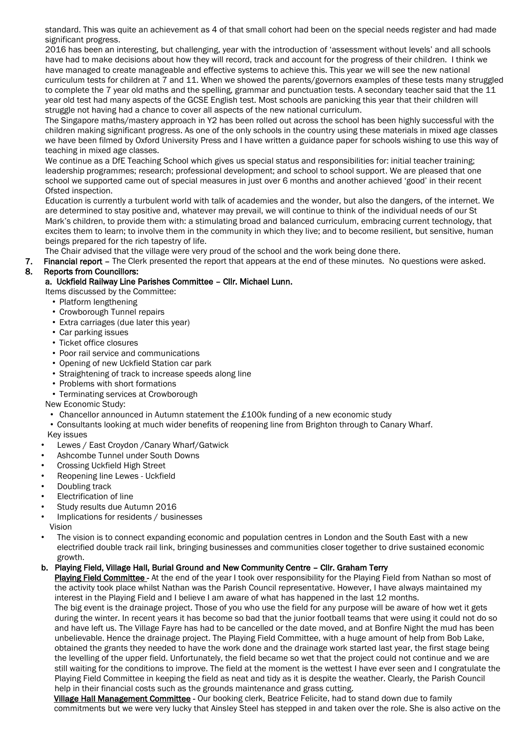standard. This was quite an achievement as 4 of that small cohort had been on the special needs register and had made significant progress.

 2016 has been an interesting, but challenging, year with the introduction of 'assessment without levels' and all schools have had to make decisions about how they will record, track and account for the progress of their children. I think we have managed to create manageable and effective systems to achieve this. This year we will see the new national curriculum tests for children at 7 and 11. When we showed the parents/governors examples of these tests many struggled to complete the 7 year old maths and the spelling, grammar and punctuation tests. A secondary teacher said that the 11 year old test had many aspects of the GCSE English test. Most schools are panicking this year that their children will struggle not having had a chance to cover all aspects of the new national curriculum.

 The Singapore maths/mastery approach in Y2 has been rolled out across the school has been highly successful with the children making significant progress. As one of the only schools in the country using these materials in mixed age classes we have been filmed by Oxford University Press and I have written a guidance paper for schools wishing to use this way of teaching in mixed age classes.

We continue as a DfE Teaching School which gives us special status and responsibilities for: initial teacher training; leadership programmes; research; professional development; and school to school support. We are pleased that one school we supported came out of special measures in just over 6 months and another achieved 'good' in their recent Ofsted inspection.

 Education is currently a turbulent world with talk of academies and the wonder, but also the dangers, of the internet. We are determined to stay positive and, whatever may prevail, we will continue to think of the individual needs of our St Mark's children, to provide them with: a stimulating broad and balanced curriculum, embracing current technology, that excites them to learn; to involve them in the community in which they live; and to become resilient, but sensitive, human beings prepared for the rich tapestry of life.

The Chair advised that the village were very proud of the school and the work being done there.

7. Financial report – The Clerk presented the report that appears at the end of these minutes. No questions were asked.

## 8. Reports from Councillors:

## a. Uckfield Railway Line Parishes Committee – Cllr. Michael Lunn.

- Items discussed by the Committee:
	- Platform lengthening
	- Crowborough Tunnel repairs
	- Extra carriages (due later this year)
	- Car parking issues
	- Ticket office closures
	- Poor rail service and communications
	- Opening of new Uckfield Station car park
	- Straightening of track to increase speeds along line
	- Problems with short formations
- Terminating services at Crowborough

#### New Economic Study:

- Chancellor announced in Autumn statement the £100k funding of a new economic study
- Consultants looking at much wider benefits of reopening line from Brighton through to Canary Wharf.
- Key issues
- Lewes / East Croydon /Canary Wharf/Gatwick
- Ashcombe Tunnel under South Downs
- Crossing Uckfield High Street
- Reopening line Lewes Uckfield
- Doubling track
- Electrification of line
- Study results due Autumn 2016
- Implications for residents / businesses
- Vision
- The vision is to connect expanding economic and population centres in London and the South East with a new electrified double track rail link, bringing businesses and communities closer together to drive sustained economic growth.

## b. Playing Field, Village Hall, Burial Ground and New Community Centre – Cllr. Graham Terry

Playing Field Committee - At the end of the year I took over responsibility for the Playing Field from Nathan so most of the activity took place whilst Nathan was the Parish Council representative. However, I have always maintained my interest in the Playing Field and I believe I am aware of what has happened in the last 12 months.

 The big event is the drainage project. Those of you who use the field for any purpose will be aware of how wet it gets during the winter. In recent years it has become so bad that the junior football teams that were using it could not do so and have left us. The Village Fayre has had to be cancelled or the date moved, and at Bonfire Night the mud has been unbelievable. Hence the drainage project. The Playing Field Committee, with a huge amount of help from Bob Lake, obtained the grants they needed to have the work done and the drainage work started last year, the first stage being the levelling of the upper field. Unfortunately, the field became so wet that the project could not continue and we are still waiting for the conditions to improve. The field at the moment is the wettest I have ever seen and I congratulate the Playing Field Committee in keeping the field as neat and tidy as it is despite the weather. Clearly, the Parish Council help in their financial costs such as the grounds maintenance and grass cutting.

 Village Hall Management Committee - Our booking clerk, Beatrice Felicite, had to stand down due to family commitments but we were very lucky that Ainsley Steel has stepped in and taken over the role. She is also active on the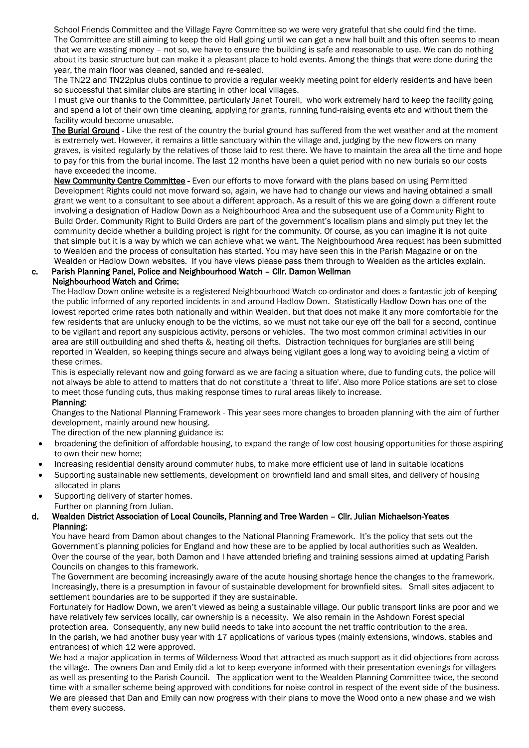School Friends Committee and the Village Fayre Committee so we were very grateful that she could find the time. The Committee are still aiming to keep the old Hall going until we can get a new hall built and this often seems to mean that we are wasting money – not so, we have to ensure the building is safe and reasonable to use. We can do nothing about its basic structure but can make it a pleasant place to hold events. Among the things that were done during the year, the main floor was cleaned, sanded and re-sealed.

 The TN22 and TN22plus clubs continue to provide a regular weekly meeting point for elderly residents and have been so successful that similar clubs are starting in other local villages.

 I must give our thanks to the Committee, particularly Janet Tourell, who work extremely hard to keep the facility going and spend a lot of their own time cleaning, applying for grants, running fund-raising events etc and without them the facility would become unusable.

The Burial Ground - Like the rest of the country the burial ground has suffered from the wet weather and at the moment is extremely wet. However, it remains a little sanctuary within the village and, judging by the new flowers on many graves, is visited regularly by the relatives of those laid to rest there. We have to maintain the area all the time and hope to pay for this from the burial income. The last 12 months have been a quiet period with no new burials so our costs have exceeded the income.

 New Community Centre Committee - Even our efforts to move forward with the plans based on using Permitted Development Rights could not move forward so, again, we have had to change our views and having obtained a small grant we went to a consultant to see about a different approach. As a result of this we are going down a different route involving a designation of Hadlow Down as a Neighbourhood Area and the subsequent use of a Community Right to Build Order. Community Right to Build Orders are part of the government's localism plans and simply put they let the community decide whether a building project is right for the community. Of course, as you can imagine it is not quite that simple but it is a way by which we can achieve what we want. The Neighbourhood Area request has been submitted to Wealden and the process of consultation has started. You may have seen this in the Parish Magazine or on the Wealden or Hadlow Down websites. If you have views please pass them through to Wealden as the articles explain.

#### c. Parish Planning Panel, Police and Neighbourhood Watch – Cllr. Damon Wellman Neighbourhood Watch and Crime:

 The Hadlow Down online website is a registered Neighbourhood Watch co-ordinator and does a fantastic job of keeping the public informed of any reported incidents in and around Hadlow Down. Statistically Hadlow Down has one of the lowest reported crime rates both nationally and within Wealden, but that does not make it any more comfortable for the few residents that are unlucky enough to be the victims, so we must not take our eye off the ball for a second, continue to be vigilant and report any suspicious activity, persons or vehicles. The two most common criminal activities in our area are still outbuilding and shed thefts &, heating oil thefts. Distraction techniques for burglaries are still being reported in Wealden, so keeping things secure and always being vigilant goes a long way to avoiding being a victim of these crimes.

 This is especially relevant now and going forward as we are facing a situation where, due to funding cuts, the police will not always be able to attend to matters that do not constitute a 'threat to life'. Also more Police stations are set to close to meet those funding cuts, thus making response times to rural areas likely to increase.

#### Planning:

 Changes to the National Planning Framework - This year sees more changes to broaden planning with the aim of further development, mainly around new housing.

The direction of the new planning guidance is:

- broadening the definition of affordable housing, to expand the range of low cost housing opportunities for those aspiring to own their new home;
- Increasing residential density around commuter hubs, to make more efficient use of land in suitable locations
- Supporting sustainable new settlements, development on brownfield land and small sites, and delivery of housing allocated in plans
- Supporting delivery of starter homes.

Further on planning from Julian.

 d. Wealden District Association of Local Councils, Planning and Tree Warden – Cllr. Julian Michaelson-Yeates Planning:

 You have heard from Damon about changes to the National Planning Framework. It's the policy that sets out the Government's planning policies for England and how these are to be applied by local authorities such as Wealden. Over the course of the year, both Damon and I have attended briefing and training sessions aimed at updating Parish Councils on changes to this framework.

 The Government are becoming increasingly aware of the acute housing shortage hence the changes to the framework. Increasingly, there is a presumption in favour of sustainable development for brownfield sites. Small sites adjacent to settlement boundaries are to be supported if they are sustainable.

 Fortunately for Hadlow Down, we aren't viewed as being a sustainable village. Our public transport links are poor and we have relatively few services locally, car ownership is a necessity. We also remain in the Ashdown Forest special protection area. Consequently, any new build needs to take into account the net traffic contribution to the area. In the parish, we had another busy year with 17 applications of various types (mainly extensions, windows, stables and entrances) of which 12 were approved.

We had a major application in terms of Wilderness Wood that attracted as much support as it did objections from across the village. The owners Dan and Emily did a lot to keep everyone informed with their presentation evenings for villagers as well as presenting to the Parish Council. The application went to the Wealden Planning Committee twice, the second time with a smaller scheme being approved with conditions for noise control in respect of the event side of the business. We are pleased that Dan and Emily can now progress with their plans to move the Wood onto a new phase and we wish them every success.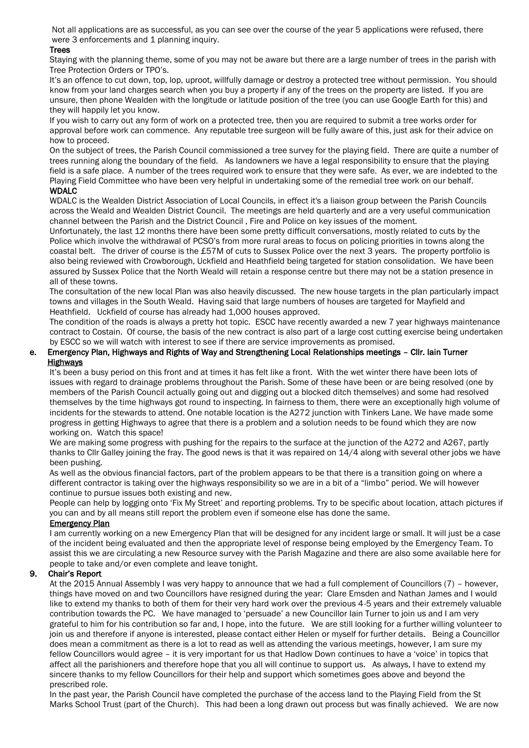Not all applications are as successful, as you can see over the course of the year 5 applications were refused, there were 3 enforcements and 1 planning inquiry.

#### **Trees**

 Staying with the planning theme, some of you may not be aware but there are a large number of trees in the parish with Tree Protection Orders or TPO's.

 It's an offence to cut down, top, lop, uproot, willfully damage or destroy a protected tree without permission. You should know from your land charges search when you buy a property if any of the trees on the property are listed. If you are unsure, then phone Wealden with the longitude or latitude position of the tree (you can use Google Earth for this) and they will happily let you know.

 If you wish to carry out any form of work on a protected tree, then you are required to submit a tree works order for approval before work can commence. Any reputable tree surgeon will be fully aware of this, just ask for their advice on how to proceed.

 On the subject of trees, the Parish Council commissioned a tree survey for the playing field. There are quite a number of trees running along the boundary of the field. As landowners we have a legal responsibility to ensure that the playing field is a safe place. A number of the trees required work to ensure that they were safe. As ever, we are indebted to the Playing Field Committee who have been very helpful in undertaking some of the remedial tree work on our behalf. WDALC

 WDALC is the Wealden District Association of Local Councils, in effect it's a liaison group between the Parish Councils across the Weald and Wealden District Council. The meetings are held quarterly and are a very useful communication channel between the Parish and the District Council , Fire and Police on key issues of the moment.

 Unfortunately, the last 12 months there have been some pretty difficult conversations, mostly related to cuts by the Police which involve the withdrawal of PCSO's from more rural areas to focus on policing priorities in towns along the coastal belt. The driver of course is the £57M of cuts to Sussex Police over the next 3 years. The property portfolio is also being reviewed with Crowborough, Uckfield and Heathfield being targeted for station consolidation. We have been assured by Sussex Police that the North Weald will retain a response centre but there may not be a station presence in all of these towns.

 The consultation of the new local Plan was also heavily discussed. The new house targets in the plan particularly impact towns and villages in the South Weald. Having said that large numbers of houses are targeted for Mayfield and Heathfield. Uckfield of course has already had 1,000 houses approved.

 The condition of the roads is always a pretty hot topic. ESCC have recently awarded a new 7 year highways maintenance contract to Costain. Of course, the basis of the new contract is also part of a large cost cutting exercise being undertaken by ESCC so we will watch with interest to see if there are service improvements as promised.

#### e. Emergency Plan, Highways and Rights of Way and Strengthening Local Relationships meetings – Cllr. Iain Turner **Highways**

 It's been a busy period on this front and at times it has felt like a front. With the wet winter there have been lots of issues with regard to drainage problems throughout the Parish. Some of these have been or are being resolved (one by members of the Parish Council actually going out and digging out a blocked ditch themselves) and some had resolved themselves by the time highways got round to inspecting. In fairness to them, there were an exceptionally high volume of incidents for the stewards to attend. One notable location is the A272 junction with Tinkers Lane. We have made some progress in getting Highways to agree that there is a problem and a solution needs to be found which they are now working on. Watch this space!

 We are making some progress with pushing for the repairs to the surface at the junction of the A272 and A267, partly thanks to Cllr Galley joining the fray. The good news is that it was repaired on 14/4 along with several other jobs we have been pushing.

 As well as the obvious financial factors, part of the problem appears to be that there is a transition going on where a different contractor is taking over the highways responsibility so we are in a bit of a "limbo" period. We will however continue to pursue issues both existing and new.

 People can help by logging onto 'Fix My Street' and reporting problems. Try to be specific about location, attach pictures if you can and by all means still report the problem even if someone else has done the same.

#### Emergency Plan

 I am currently working on a new Emergency Plan that will be designed for any incident large or small. It will just be a case of the incident being evaluated and then the appropriate level of response being employed by the Emergency Team. To assist this we are circulating a new Resource survey with the Parish Magazine and there are also some available here for people to take and/or even complete and leave tonight.

#### 9. Chair's Report

 At the 2015 Annual Assembly I was very happy to announce that we had a full complement of Councillors (7) – however, things have moved on and two Councillors have resigned during the year: Clare Emsden and Nathan James and I would like to extend my thanks to both of them for their very hard work over the previous 4-5 years and their extremely valuable contribution towards the PC. We have managed to 'persuade' a new Councillor Iain Turner to join us and I am very grateful to him for his contribution so far and, I hope, into the future. We are still looking for a further willing volunteer to join us and therefore if anyone is interested, please contact either Helen or myself for further details. Being a Councillor does mean a commitment as there is a lot to read as well as attending the various meetings, however, I am sure my fellow Councillors would agree – it is very important for us that Hadlow Down continues to have a 'voice' in topics that affect all the parishioners and therefore hope that you all will continue to support us. As always, I have to extend my sincere thanks to my fellow Councillors for their help and support which sometimes goes above and beyond the prescribed role.

 In the past year, the Parish Council have completed the purchase of the access land to the Playing Field from the St Marks School Trust (part of the Church). This had been a long drawn out process but was finally achieved. We are now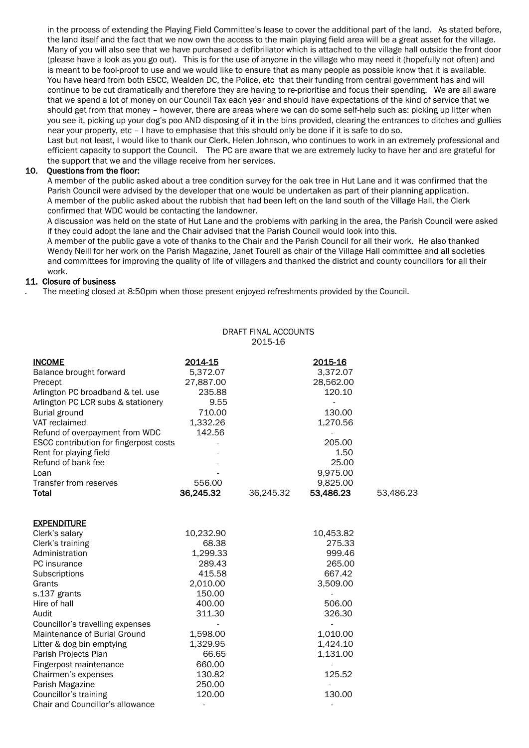in the process of extending the Playing Field Committee's lease to cover the additional part of the land. As stated before, the land itself and the fact that we now own the access to the main playing field area will be a great asset for the village. Many of you will also see that we have purchased a defibrillator which is attached to the village hall outside the front door (please have a look as you go out). This is for the use of anyone in the village who may need it (hopefully not often) and is meant to be fool-proof to use and we would like to ensure that as many people as possible know that it is available. You have heard from both ESCC, Wealden DC, the Police, etc that their funding from central government has and will continue to be cut dramatically and therefore they are having to re-prioritise and focus their spending. We are all aware that we spend a lot of money on our Council Tax each year and should have expectations of the kind of service that we should get from that money – however, there are areas where we can do some self-help such as: picking up litter when you see it, picking up your dog's poo AND disposing of it in the bins provided, clearing the entrances to ditches and gullies near your property, etc – I have to emphasise that this should only be done if it is safe to do so.

 Last but not least, I would like to thank our Clerk, Helen Johnson, who continues to work in an extremely professional and efficient capacity to support the Council. The PC are aware that we are extremely lucky to have her and are grateful for the support that we and the village receive from her services.

### 10. Questions from the floor:

 A member of the public asked about a tree condition survey for the oak tree in Hut Lane and it was confirmed that the Parish Council were advised by the developer that one would be undertaken as part of their planning application. A member of the public asked about the rubbish that had been left on the land south of the Village Hall, the Clerk confirmed that WDC would be contacting the landowner.

 A discussion was held on the state of Hut Lane and the problems with parking in the area, the Parish Council were asked if they could adopt the lane and the Chair advised that the Parish Council would look into this.

 A member of the public gave a vote of thanks to the Chair and the Parish Council for all their work. He also thanked Wendy Neill for her work on the Parish Magazine, Janet Tourell as chair of the Village Hall committee and all societies and committees for improving the quality of life of villagers and thanked the district and county councillors for all their work.

DRAFT FINAL ACCOUNTS

#### 11. Closure of business

*.* The meeting closed at 8:50pm when those present enjoyed refreshments provided by the Council.

|                                          |                     | 2015-16   |                     |           |
|------------------------------------------|---------------------|-----------|---------------------|-----------|
| <b>INCOME</b><br>Balance brought forward | 2014-15<br>5,372.07 |           | 2015-16<br>3,372.07 |           |
| Precept                                  | 27,887.00           |           | 28,562.00           |           |
| Arlington PC broadband & tel. use        | 235.88              |           | 120.10              |           |
| Arlington PC LCR subs & stationery       | 9.55                |           |                     |           |
| <b>Burial ground</b>                     | 710.00              |           | 130.00              |           |
| VAT reclaimed                            | 1,332.26            |           | 1,270.56            |           |
| Refund of overpayment from WDC           | 142.56              |           |                     |           |
| ESCC contribution for fingerpost costs   |                     |           | 205.00              |           |
| Rent for playing field                   |                     |           | 1.50                |           |
| Refund of bank fee                       |                     |           | 25.00               |           |
| Loan                                     |                     |           | 9,975.00            |           |
| Transfer from reserves                   | 556.00              |           | 9,825.00            |           |
| <b>Total</b>                             | 36,245.32           | 36,245.32 | 53,486.23           | 53,486.23 |
| <b>EXPENDITURE</b>                       |                     |           |                     |           |
| Clerk's salary                           | 10,232.90           |           | 10,453.82           |           |
| Clerk's training                         | 68.38               |           | 275.33              |           |
| Administration                           | 1,299.33            |           | 999.46              |           |
| PC insurance                             | 289.43              |           | 265.00              |           |
| Subscriptions                            | 415.58              |           | 667.42              |           |
| Grants                                   | 2,010.00            |           | 3,509.00            |           |
| s.137 grants                             | 150.00              |           |                     |           |
| Hire of hall                             | 400.00              |           | 506.00              |           |
| Audit                                    | 311.30              |           | 326.30              |           |
| Councillor's travelling expenses         |                     |           | $\overline{a}$      |           |
| Maintenance of Burial Ground             | 1,598.00            |           | 1,010.00            |           |
| Litter & dog bin emptying                | 1,329.95            |           | 1,424.10            |           |
| Parish Projects Plan                     | 66.65               |           | 1,131.00            |           |
| Fingerpost maintenance                   | 660.00              |           |                     |           |
| Chairmen's expenses                      | 130.82              |           | 125.52              |           |
| Parish Magazine                          | 250.00              |           |                     |           |
| Councillor's training                    | 120.00              |           | 130.00              |           |
| Chair and Councillor's allowance         |                     |           |                     |           |